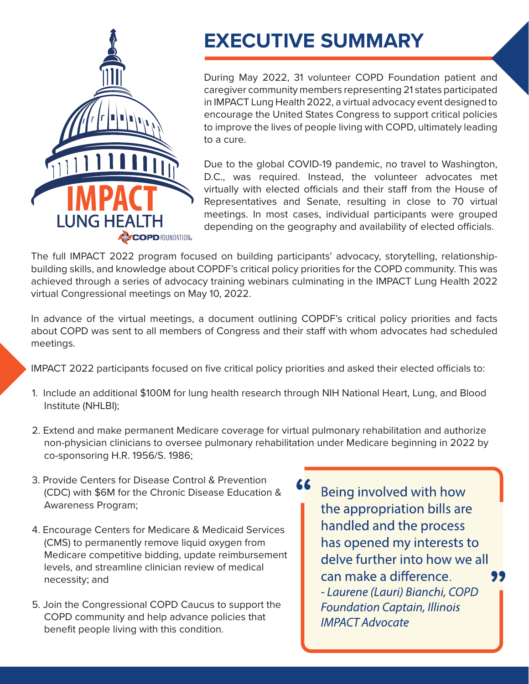

## **EXECUTIVE SUMMARY**

During May 2022, 31 volunteer COPD Foundation patient and caregiver community members representing 21 states participated in IMPACT Lung Health 2022, a virtual advocacy event designed to encourage the United States Congress to support critical policies to improve the lives of people living with COPD, ultimately leading to a cure.

Due to the global COVID-19 pandemic, no travel to Washington, D.C., was required. Instead, the volunteer advocates met virtually with elected officials and their staff from the House of Representatives and Senate, resulting in close to 70 virtual meetings. In most cases, individual participants were grouped depending on the geography and availability of elected officials.

The full IMPACT 2022 program focused on building participants' advocacy, storytelling, relationshipbuilding skills, and knowledge about COPDF's critical policy priorities for the COPD community. This was achieved through a series of advocacy training webinars culminating in the IMPACT Lung Health 2022 virtual Congressional meetings on May 10, 2022.

In advance of the virtual meetings, a document outlining COPDF's critical policy priorities and facts about COPD was sent to all members of Congress and their staff with whom advocates had scheduled meetings.

IMPACT 2022 participants focused on five critical policy priorities and asked their elected officials to:

- 1. Include an additional \$100M for lung health research through NIH National Heart, Lung, and Blood Institute (NHLBI);
- 2. Extend and make permanent Medicare coverage for virtual pulmonary rehabilitation and authorize non-physician clinicians to oversee pulmonary rehabilitation under Medicare beginning in 2022 by co-sponsoring H.R. 1956/S. 1986;
- 3. Provide Centers for Disease Control & Prevention (CDC) with \$6M for the Chronic Disease Education & Awareness Program;
- 4. Encourage Centers for Medicare & Medicaid Services (CMS) to permanently remove liquid oxygen from Medicare competitive bidding, update reimbursement levels, and streamline clinician review of medical necessity; and
- 5. Join the Congressional COPD Caucus to support the COPD community and help advance policies that benefit people living with this condition.

Being involved with how the appropriation bills are handled and the process has opened my interests to delve further into how we all can make a difference 99 - Laurene (Lauri) Bianchi, COPD **Foundation Captain, Illinois IMPACT Advocate**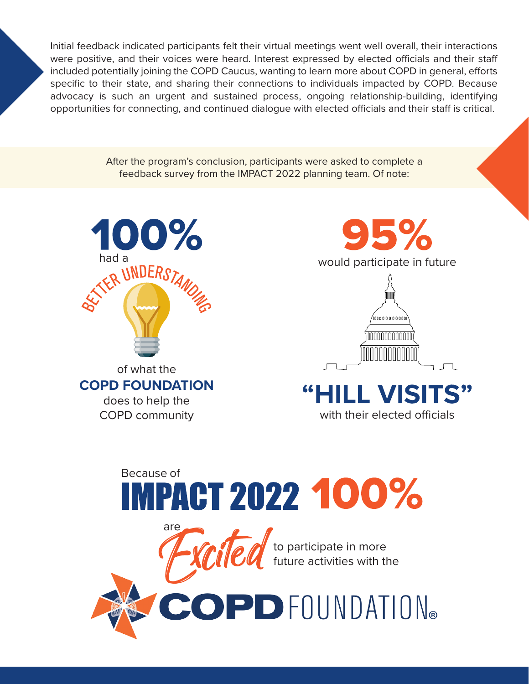Initial feedback indicated participants felt their virtual meetings went well overall, their interactions were positive, and their voices were heard. Interest expressed by elected officials and their staff included potentially joining the COPD Caucus, wanting to learn more about COPD in general, efforts specific to their state, and sharing their connections to individuals impacted by COPD. Because advocacy is such an urgent and sustained process, ongoing relationship-building, identifying opportunities for connecting, and continued dialogue with elected officials and their staff is critical.

> After the program's conclusion, participants were asked to complete a feedback survey from the IMPACT 2022 planning team. Of note:



are







## Because of<br>IMPACT 2022 100%

to participate in more future activities with the

PD FOUNDATION®